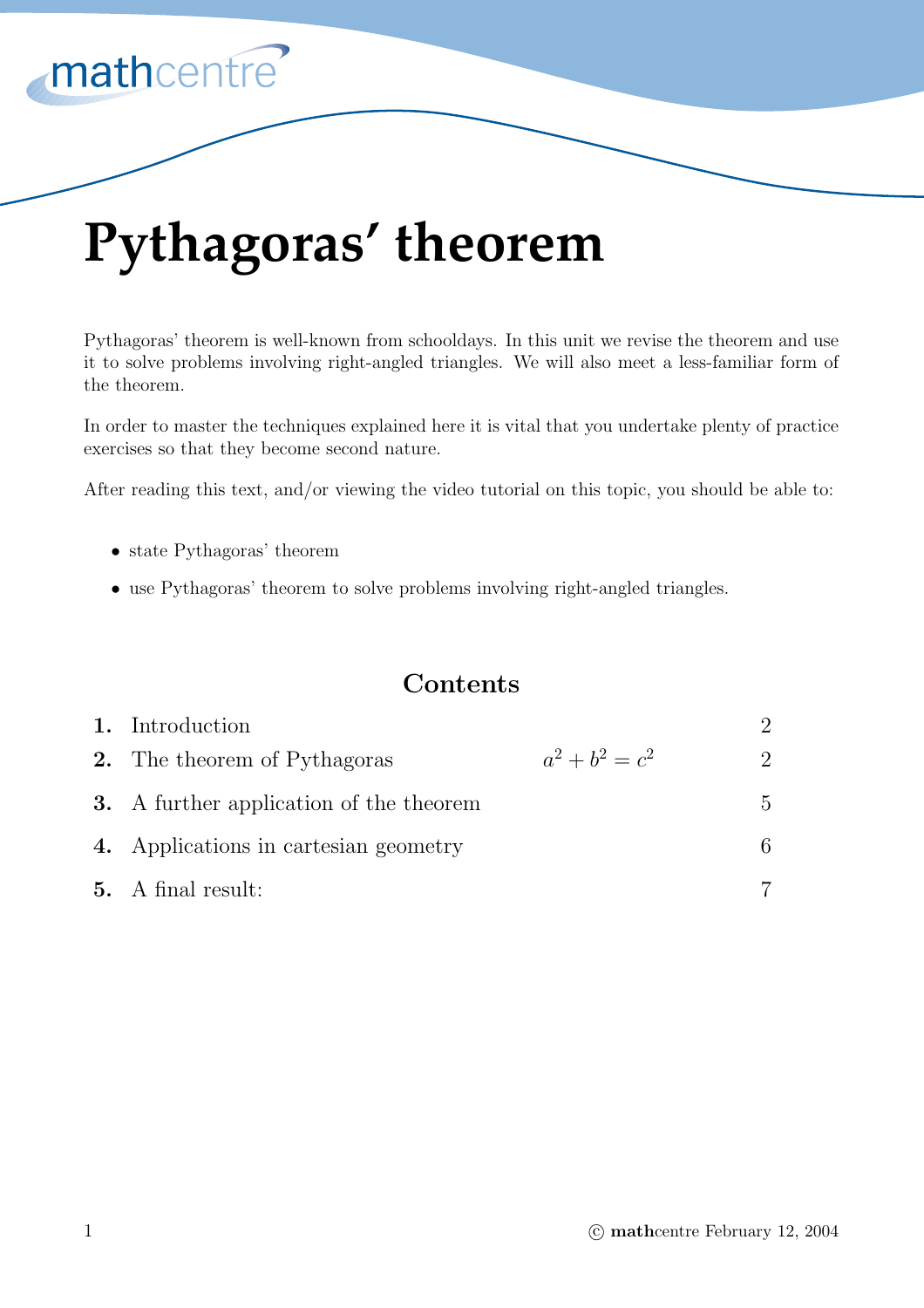

# **Pythagoras' theorem**

Pythagoras' theorem is well-known from schooldays. In this unit we revise the theorem and use it to solve problems involving right-angled triangles. We will also meet a less-familiar form of the theorem.

In order to master the techniques explained here it is vital that you undertake plenty of practice exercises so that they become second nature.

After reading this text, and/or viewing the video tutorial on this topic, you should be able to:

- state Pythagoras' theorem
- use Pythagoras' theorem to solve problems involving right-angled triangles.

## **Contents**

| 1. Introduction                                |                   | $\mathcal{D}$               |
|------------------------------------------------|-------------------|-----------------------------|
| <b>2.</b> The theorem of Pythagoras            | $a^2 + b^2 = c^2$ | $\mathcal{D}_{\mathcal{L}}$ |
| <b>3.</b> A further application of the theorem |                   | $\overline{5}$              |
| 4. Applications in cartesian geometry          |                   | 6.                          |
| <b>5.</b> A final result:                      |                   |                             |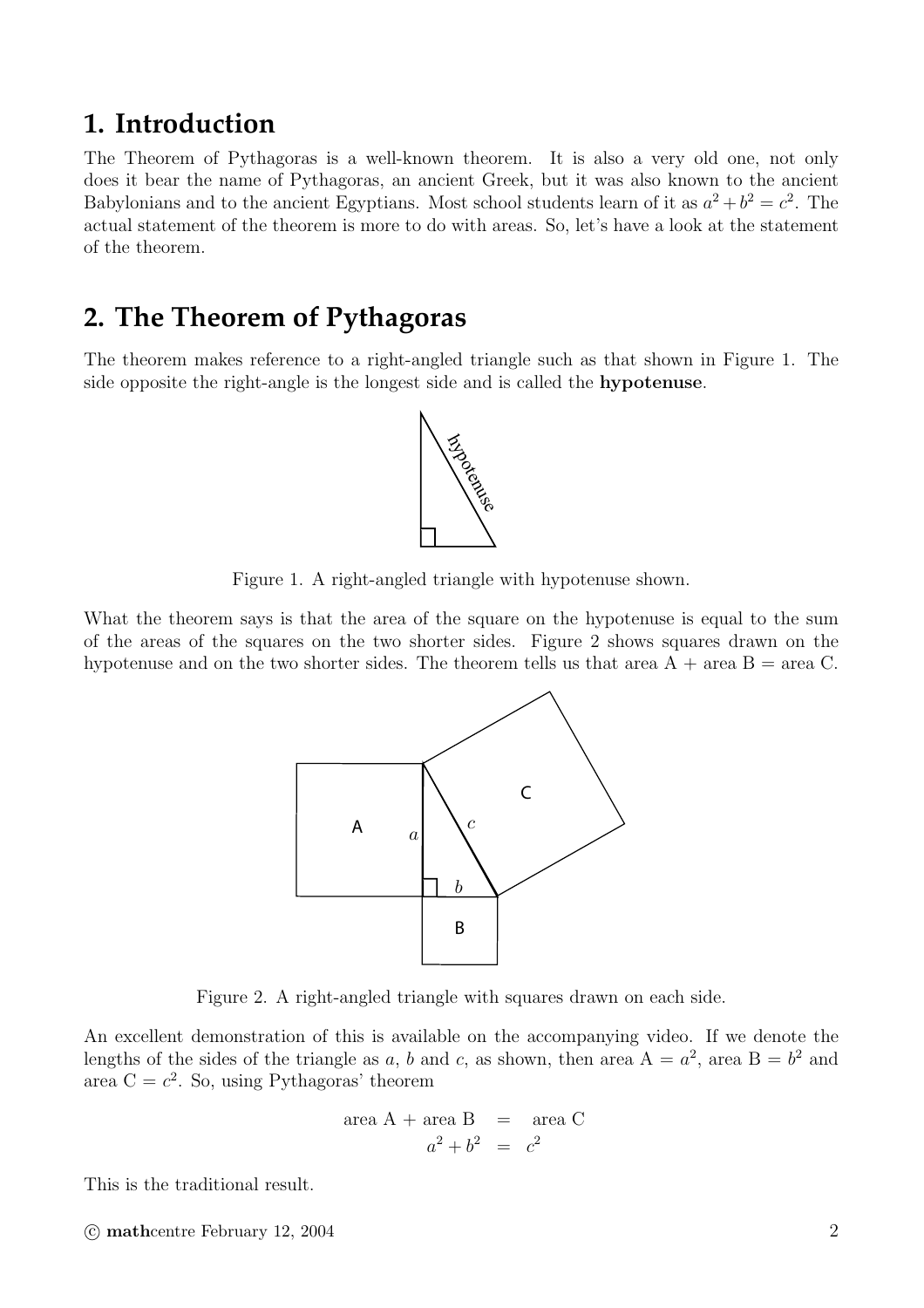## **1. Introduction**

The Theorem of Pythagoras is a well-known theorem. It is also a very old one, not only does it bear the name of Pythagoras, an ancient Greek, but it was also known to the ancient Babylonians and to the ancient Egyptians. Most school students learn of it as  $a^2 + b^2 = c^2$ . The actual statement of the theorem is more to do with areas. So, let's have a look at the statement of the theorem.

# **2. The Theorem of Pythagoras**

The theorem makes reference to a right-angled triangle such as that shown in Figure 1. The side opposite the right-angle is the longest side and is called the **hypotenuse**.



Figure 1. A right-angled triangle with hypotenuse shown.

What the theorem says is that the area of the square on the hypotenuse is equal to the sum of the areas of the squares on the two shorter sides. Figure 2 shows squares drawn on the hypotenuse and on the two shorter sides. The theorem tells us that area  $A + \text{area } B = \text{area } C$ .



Figure 2. A right-angled triangle with squares drawn on each side.

An excellent demonstration of this is available on the accompanying video. If we denote the lengths of the sides of the triangle as a, b and c, as shown, then area  $A = a^2$ , area  $B = b^2$  and area C =  $c^2$ . So, using Pythagoras' theorem

area A + area B = area C  

$$
a^2 + b^2 = c^2
$$

This is the traditional result.

C **math**centre February 12, 2004 2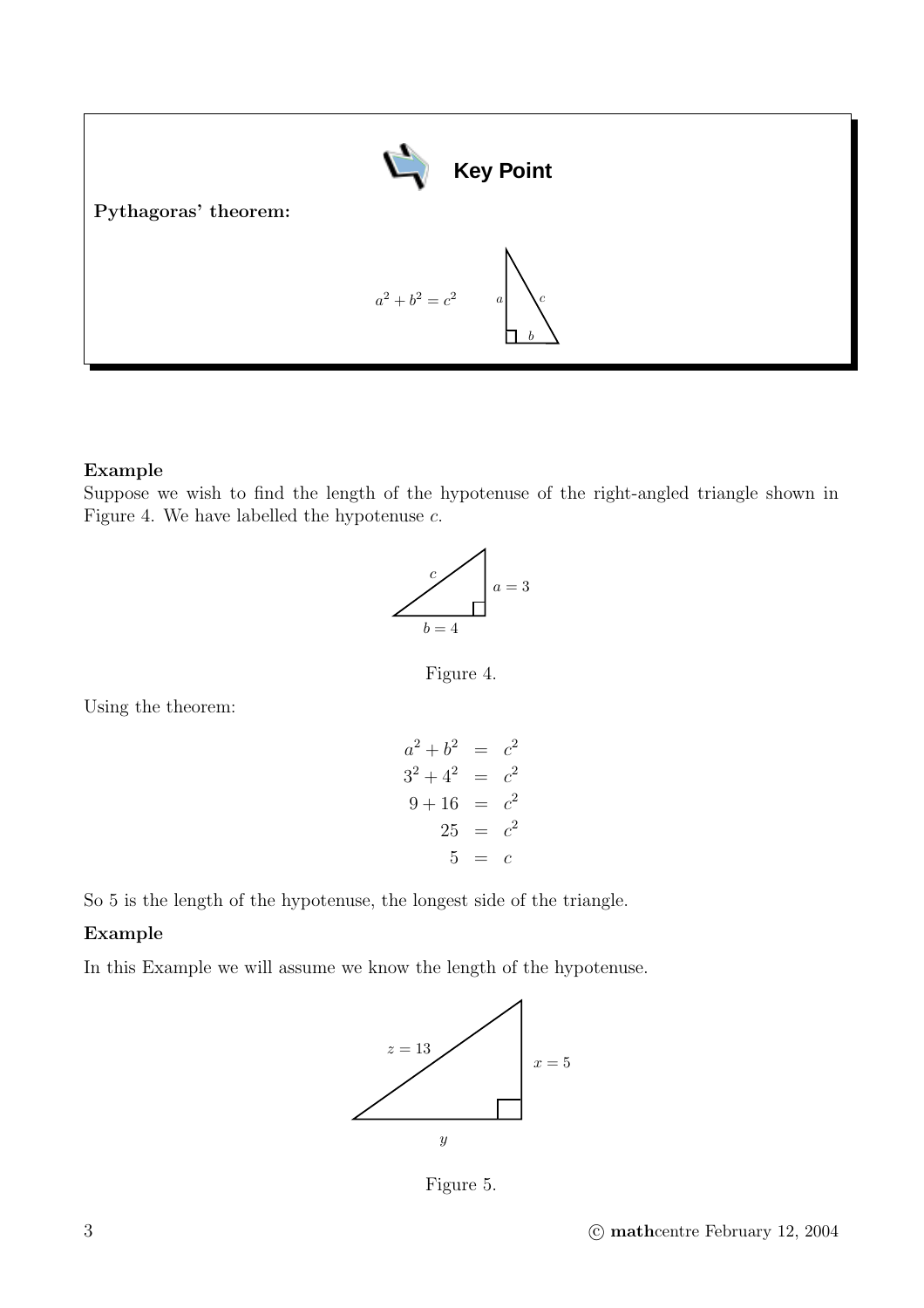

#### **Example**

Suppose we wish to find the length of the hypotenuse of the right-angled triangle shown in Figure 4. We have labelled the hypotenuse  $c$ .



Figure 4.

Using the theorem:

$$
a^{2} + b^{2} = c^{2}
$$
  
\n
$$
3^{2} + 4^{2} = c^{2}
$$
  
\n
$$
9 + 16 = c^{2}
$$
  
\n
$$
25 = c^{2}
$$
  
\n
$$
5 = c
$$

So 5 is the length of the hypotenuse, the longest side of the triangle.

#### **Example**

In this Example we will assume we know the length of the hypotenuse.



Figure 5.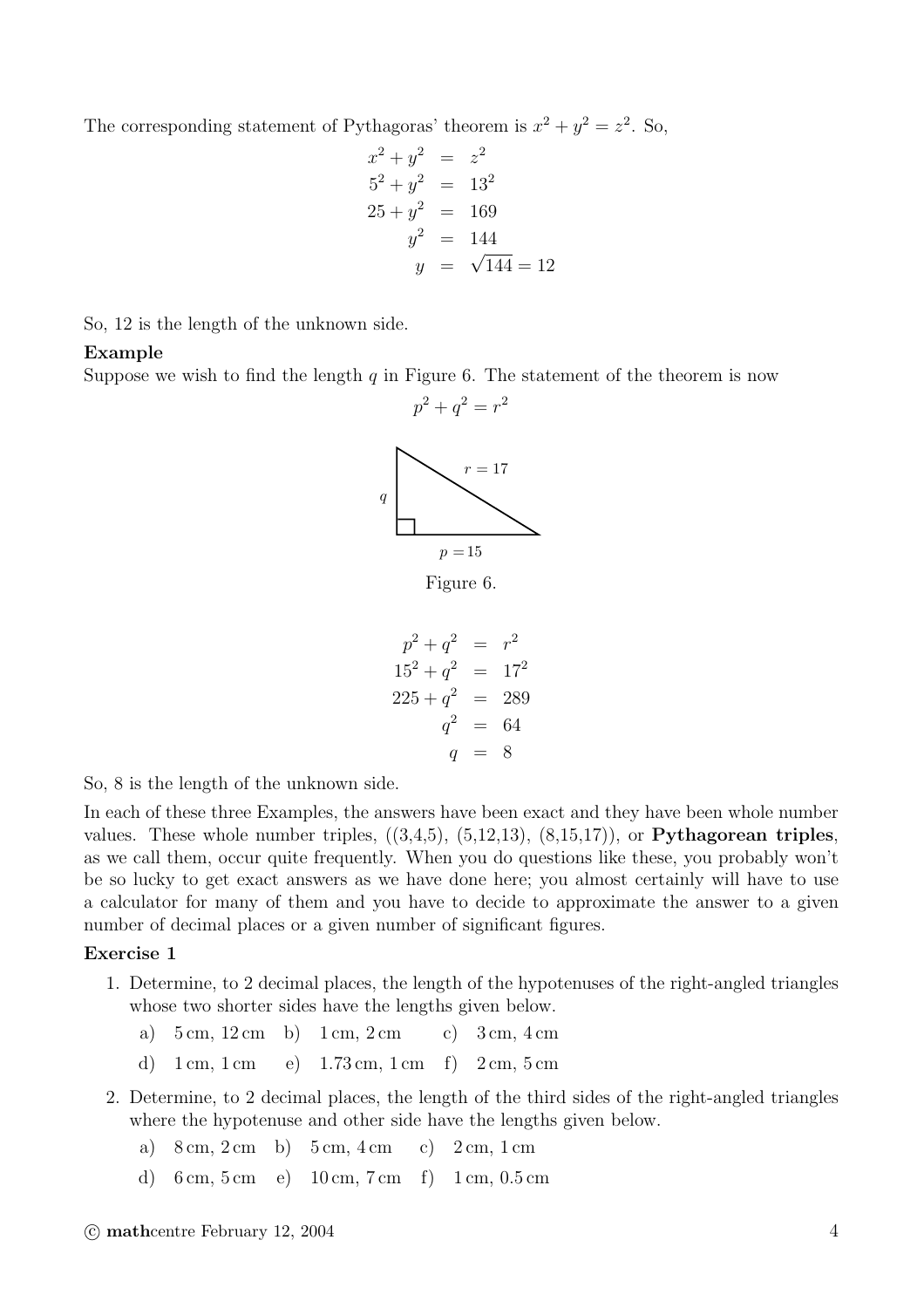The corresponding statement of Pythagoras' theorem is  $x^2 + y^2 = z^2$ . So,

$$
x^{2} + y^{2} = z^{2}
$$
  
\n
$$
5^{2} + y^{2} = 13^{2}
$$
  
\n
$$
25 + y^{2} = 169
$$
  
\n
$$
y^{2} = 144
$$
  
\n
$$
y = \sqrt{144} = 12
$$

So, 12 is the length of the unknown side.

#### **Example**

Suppose we wish to find the length  $q$  in Figure 6. The statement of the theorem is now



Figure 6.

$$
p^{2} + q^{2} = r^{2}
$$
  
\n
$$
15^{2} + q^{2} = 17^{2}
$$
  
\n
$$
225 + q^{2} = 289
$$
  
\n
$$
q^{2} = 64
$$
  
\n
$$
q = 8
$$

So, 8 is the length of the unknown side.

In each of these three Examples, the answers have been exact and they have been whole number values. These whole number triples, ((3,4,5), (5,12,13), (8,15,17)), or **Pythagorean triples**, as we call them, occur quite frequently. When you do questions like these, you probably won't be so lucky to get exact answers as we have done here; you almost certainly will have to use a calculator for many of them and you have to decide to approximate the answer to a given number of decimal places or a given number of significant figures.

#### **Exercise 1**

- 1. Determine, to 2 decimal places, the length of the hypotenuses of the right-angled triangles whose two shorter sides have the lengths given below.
	- a)  $5 \text{ cm}, 12 \text{ cm}$  b)  $1 \text{ cm}, 2 \text{ cm}$  c)  $3 \text{ cm}, 4 \text{ cm}$
	- d) 1 cm, 1 cm e)  $1.73$  cm, 1 cm f) 2 cm, 5 cm
- 2. Determine, to 2 decimal places, the length of the third sides of the right-angled triangles where the hypotenuse and other side have the lengths given below.
	- a)  $8 \text{ cm}, 2 \text{ cm}$  b)  $5 \text{ cm}, 4 \text{ cm}$  c)  $2 \text{ cm}, 1 \text{ cm}$
	- d) 6 cm, 5 cm e) 10 cm, 7 cm f) 1 cm, 0.5 cm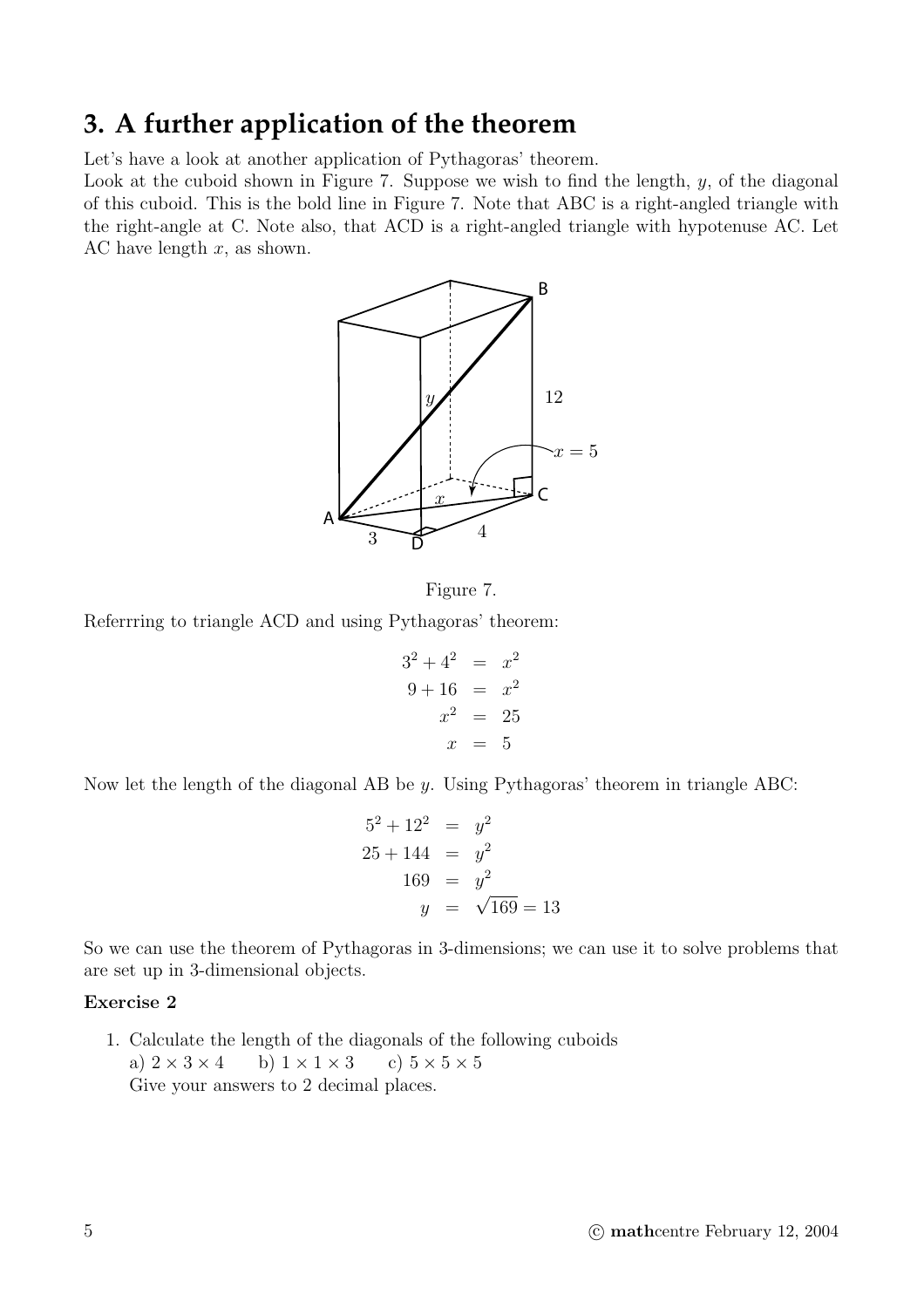# **3. A further application of the theorem**

Let's have a look at another application of Pythagoras' theorem.

Look at the cuboid shown in Figure 7. Suppose we wish to find the length,  $y$ , of the diagonal of this cuboid. This is the bold line in Figure 7. Note that ABC is a right-angled triangle with the right-angle at C. Note also, that ACD is a right-angled triangle with hypotenuse AC. Let AC have length  $x$ , as shown.



Figure 7.

Referrring to triangle ACD and using Pythagoras' theorem:

$$
32 + 42 = x2
$$
  

$$
9 + 16 = x2
$$
  

$$
x2 = 25
$$
  

$$
x = 5
$$

Now let the length of the diagonal AB be y. Using Pythagoras' theorem in triangle ABC:

$$
52 + 122 = y2
$$
  
25 + 144 = y<sup>2</sup>  
169 = y<sup>2</sup>  
y = \sqrt{169} = 13

So we can use the theorem of Pythagoras in 3-dimensions; we can use it to solve problems that are set up in 3-dimensional objects.

#### **Exercise 2**

1. Calculate the length of the diagonals of the following cuboids a)  $2 \times 3 \times 4$  b)  $1 \times 1 \times 3$  c)  $5 \times 5 \times 5$ Give your answers to 2 decimal places.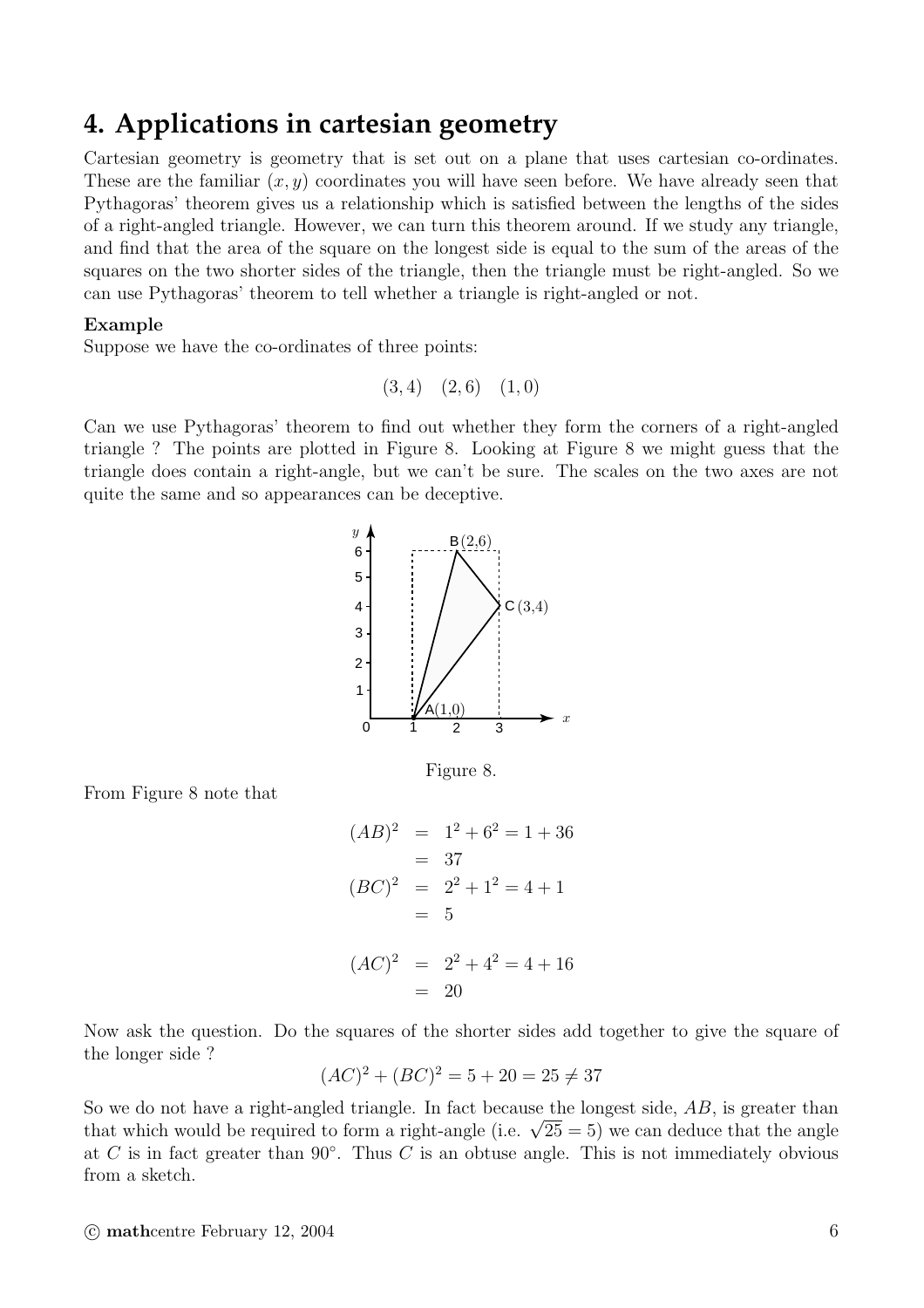## **4. Applications in cartesian geometry**

Cartesian geometry is geometry that is set out on a plane that uses cartesian co-ordinates. These are the familiar  $(x, y)$  coordinates you will have seen before. We have already seen that Pythagoras' theorem gives us a relationship which is satisfied between the lengths of the sides of a right-angled triangle. However, we can turn this theorem around. If we study any triangle, and find that the area of the square on the longest side is equal to the sum of the areas of the squares on the two shorter sides of the triangle, then the triangle must be right-angled. So we can use Pythagoras' theorem to tell whether a triangle is right-angled or not.

#### **Example**

Suppose we have the co-ordinates of three points:

$$
(3,4)
$$
  $(2,6)$   $(1,0)$ 

Can we use Pythagoras' theorem to find out whether they form the corners of a right-angled triangle ? The points are plotted in Figure 8. Looking at Figure 8 we might guess that the triangle does contain a right-angle, but we can't be sure. The scales on the two axes are not quite the same and so appearances can be deceptive.



Figure 8.

From Figure 8 note that

$$
(AB)^2 = 1^2 + 6^2 = 1 + 36
$$
  
= 37  

$$
(BC)^2 = 2^2 + 1^2 = 4 + 1
$$
  
= 5  

$$
(AC)^2 = 2^2 + 4^2 = 4 + 16
$$
  
= 20

Now ask the question. Do the squares of the shorter sides add together to give the square of the longer side ?

$$
(AC)^{2} + (BC)^{2} = 5 + 20 = 25 \neq 37
$$

So we do not have a right-angled triangle. In fact because the longest side, AB, is greater than that which would be required to form a right-angle (i.e.  $\sqrt{25} = 5$ ) we can deduce that the angle at C is in fact greater than  $90°$ . Thus C is an obtuse angle. This is not immediately obvious from a sketch.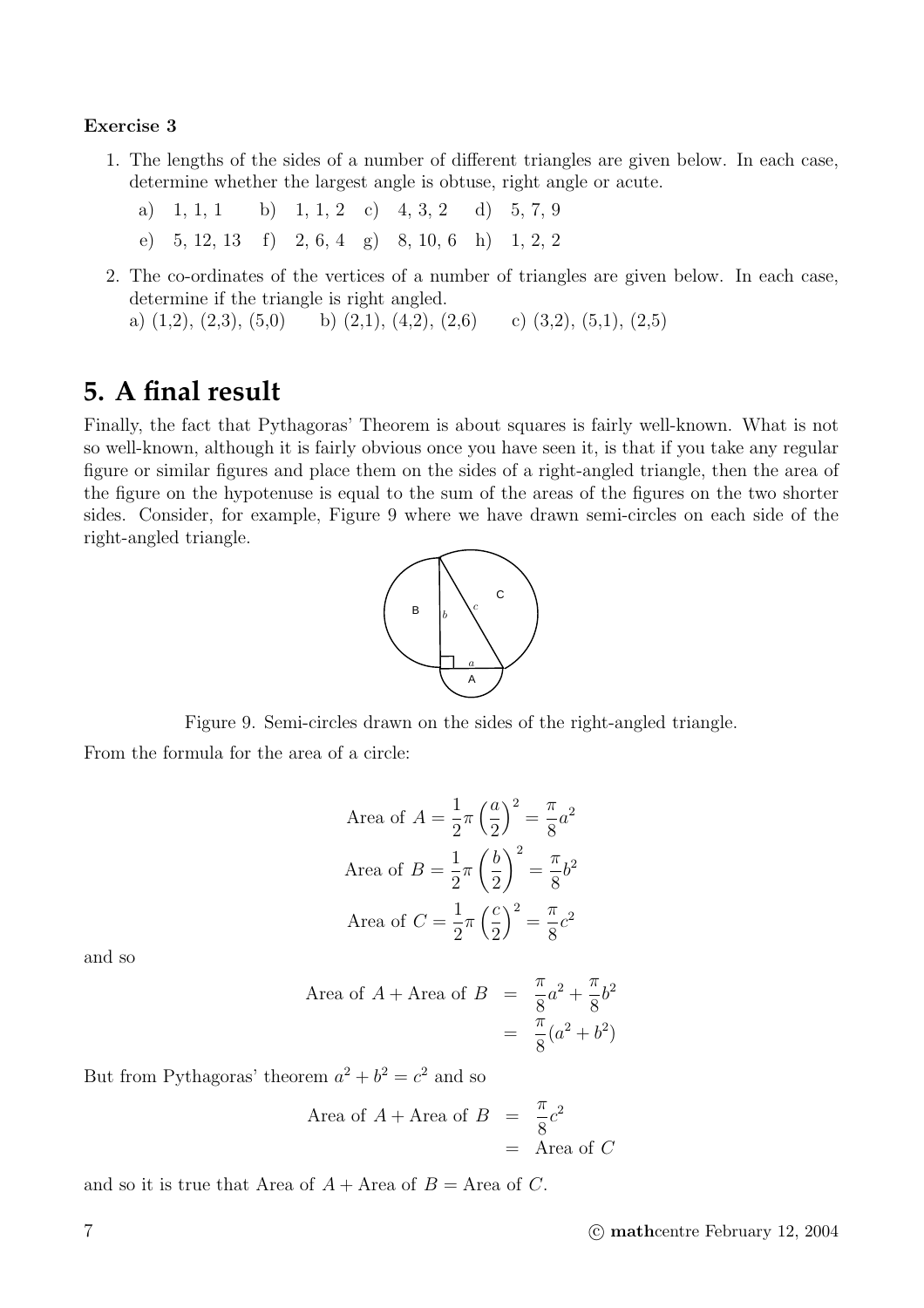#### **Exercise 3**

- 1. The lengths of the sides of a number of different triangles are given below. In each case, determine whether the largest angle is obtuse, right angle or acute.
	- a)  $1, 1, 1$  b)  $1, 1, 2$  c)  $4, 3, 2$  d)  $5, 7, 9$ e) 5, 12, 13 f) 2, 6, 4 g) 8, 10, 6 h) 1, 2, 2
- 2. The co-ordinates of the vertices of a number of triangles are given below. In each case, determine if the triangle is right angled.

# a)  $(1,2), (2,3), (5,0)$  b)  $(2,1), (4,2), (2,6)$  c)  $(3,2), (5,1), (2,5)$

# **5. A final result**

Finally, the fact that Pythagoras' Theorem is about squares is fairly well-known. What is not so well-known, although it is fairly obvious once you have seen it, is that if you take any regular figure or similar figures and place them on the sides of a right-angled triangle, then the area of the figure on the hypotenuse is equal to the sum of the areas of the figures on the two shorter sides. Consider, for example, Figure 9 where we have drawn semi-circles on each side of the right-angled triangle.



Figure 9. Semi-circles drawn on the sides of the right-angled triangle.

From the formula for the area of a circle:

Area of 
$$
A = \frac{1}{2}\pi \left(\frac{a}{2}\right)^2 = \frac{\pi}{8}a^2
$$
  
Area of  $B = \frac{1}{2}\pi \left(\frac{b}{2}\right)^2 = \frac{\pi}{8}b^2$   
Area of  $C = \frac{1}{2}\pi \left(\frac{c}{2}\right)^2 = \frac{\pi}{8}c^2$ 

and so

Area of 
$$
A + \text{Area of } B = \frac{\pi}{8}a^2 + \frac{\pi}{8}b^2
$$
  
=  $\frac{\pi}{8}(a^2 + b^2)$ 

But from Pythagoras' theorem  $a^2 + b^2 = c^2$  and so

Area of 
$$
A + \text{Area of } B = \frac{\pi}{8}c^2
$$
  
= Area of C

and so it is true that Area of  $A +$ Area of  $B =$ Area of C.